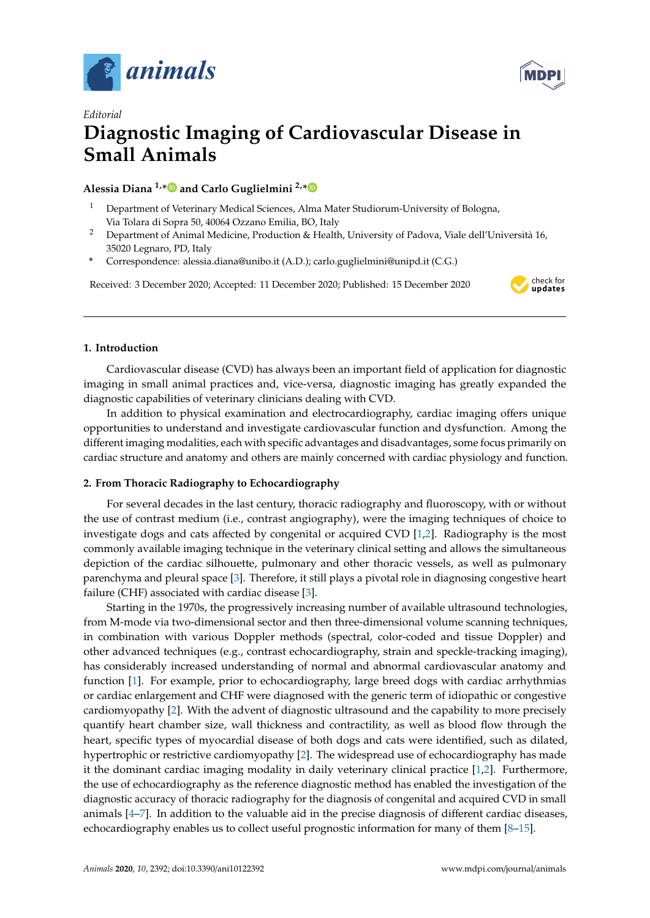



# *Editorial* **Diagnostic Imaging of Cardiovascular Disease in Small Animals**

## **Alessia Diana 1,[\\*](https://orcid.org/0000-0003-1709-3920) and Carlo Guglielmini 2,[\\*](https://orcid.org/0000-0001-7575-3646)**

- <sup>1</sup> Department of Veterinary Medical Sciences, Alma Mater Studiorum-University of Bologna, Via Tolara di Sopra 50, 40064 Ozzano Emilia, BO, Italy
- <sup>2</sup> Department of Animal Medicine, Production & Health, University of Padova, Viale dell'Università 16, 35020 Legnaro, PD, Italy
- **\*** Correspondence: alessia.diana@unibo.it (A.D.); carlo.guglielmini@unipd.it (C.G.)

Received: 3 December 2020; Accepted: 11 December 2020; Published: 15 December 2020



### **1. Introduction**

Cardiovascular disease (CVD) has always been an important field of application for diagnostic imaging in small animal practices and, vice-versa, diagnostic imaging has greatly expanded the diagnostic capabilities of veterinary clinicians dealing with CVD.

In addition to physical examination and electrocardiography, cardiac imaging offers unique opportunities to understand and investigate cardiovascular function and dysfunction. Among the different imaging modalities, each with specific advantages and disadvantages, some focus primarily on cardiac structure and anatomy and others are mainly concerned with cardiac physiology and function.

### **2. From Thoracic Radiography to Echocardiography**

For several decades in the last century, thoracic radiography and fluoroscopy, with or without the use of contrast medium (i.e., contrast angiography), were the imaging techniques of choice to investigate dogs and cats affected by congenital or acquired CVD [\[1,](#page-1-0)[2\]](#page-1-1). Radiography is the most commonly available imaging technique in the veterinary clinical setting and allows the simultaneous depiction of the cardiac silhouette, pulmonary and other thoracic vessels, as well as pulmonary parenchyma and pleural space [\[3\]](#page-1-2). Therefore, it still plays a pivotal role in diagnosing congestive heart failure (CHF) associated with cardiac disease [\[3\]](#page-1-2).

Starting in the 1970s, the progressively increasing number of available ultrasound technologies, from M-mode via two-dimensional sector and then three-dimensional volume scanning techniques, in combination with various Doppler methods (spectral, color-coded and tissue Doppler) and other advanced techniques (e.g., contrast echocardiography, strain and speckle-tracking imaging), has considerably increased understanding of normal and abnormal cardiovascular anatomy and function [\[1\]](#page-1-0). For example, prior to echocardiography, large breed dogs with cardiac arrhythmias or cardiac enlargement and CHF were diagnosed with the generic term of idiopathic or congestive cardiomyopathy [\[2\]](#page-1-1). With the advent of diagnostic ultrasound and the capability to more precisely quantify heart chamber size, wall thickness and contractility, as well as blood flow through the heart, specific types of myocardial disease of both dogs and cats were identified, such as dilated, hypertrophic or restrictive cardiomyopathy [\[2\]](#page-1-1). The widespread use of echocardiography has made it the dominant cardiac imaging modality in daily veterinary clinical practice [\[1](#page-1-0)[,2\]](#page-1-1). Furthermore, the use of echocardiography as the reference diagnostic method has enabled the investigation of the diagnostic accuracy of thoracic radiography for the diagnosis of congenital and acquired CVD in small animals [\[4](#page-1-3)[–7\]](#page-2-0). In addition to the valuable aid in the precise diagnosis of different cardiac diseases, echocardiography enables us to collect useful prognostic information for many of them [\[8](#page-2-1)[–15\]](#page-2-2).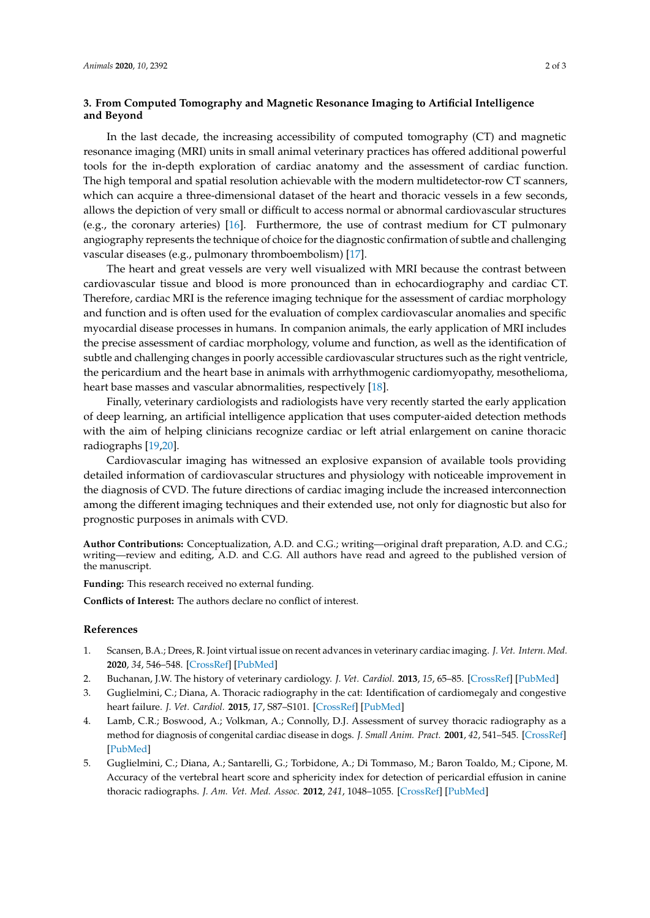#### **3. From Computed Tomography and Magnetic Resonance Imaging to Artificial Intelligence and Beyond**

In the last decade, the increasing accessibility of computed tomography (CT) and magnetic resonance imaging (MRI) units in small animal veterinary practices has offered additional powerful tools for the in-depth exploration of cardiac anatomy and the assessment of cardiac function. The high temporal and spatial resolution achievable with the modern multidetector-row CT scanners, which can acquire a three-dimensional dataset of the heart and thoracic vessels in a few seconds, allows the depiction of very small or difficult to access normal or abnormal cardiovascular structures (e.g., the coronary arteries) [\[16\]](#page-2-3). Furthermore, the use of contrast medium for CT pulmonary angiography represents the technique of choice for the diagnostic confirmation of subtle and challenging vascular diseases (e.g., pulmonary thromboembolism) [\[17\]](#page-2-4).

The heart and great vessels are very well visualized with MRI because the contrast between cardiovascular tissue and blood is more pronounced than in echocardiography and cardiac CT. Therefore, cardiac MRI is the reference imaging technique for the assessment of cardiac morphology and function and is often used for the evaluation of complex cardiovascular anomalies and specific myocardial disease processes in humans. In companion animals, the early application of MRI includes the precise assessment of cardiac morphology, volume and function, as well as the identification of subtle and challenging changes in poorly accessible cardiovascular structures such as the right ventricle, the pericardium and the heart base in animals with arrhythmogenic cardiomyopathy, mesothelioma, heart base masses and vascular abnormalities, respectively [\[18\]](#page-2-5).

Finally, veterinary cardiologists and radiologists have very recently started the early application of deep learning, an artificial intelligence application that uses computer-aided detection methods with the aim of helping clinicians recognize cardiac or left atrial enlargement on canine thoracic radiographs [\[19,](#page-2-6)[20\]](#page-2-7).

Cardiovascular imaging has witnessed an explosive expansion of available tools providing detailed information of cardiovascular structures and physiology with noticeable improvement in the diagnosis of CVD. The future directions of cardiac imaging include the increased interconnection among the different imaging techniques and their extended use, not only for diagnostic but also for prognostic purposes in animals with CVD.

**Author Contributions:** Conceptualization, A.D. and C.G.; writing—original draft preparation, A.D. and C.G.; writing—review and editing, A.D. and C.G. All authors have read and agreed to the published version of the manuscript.

**Funding:** This research received no external funding.

**Conflicts of Interest:** The authors declare no conflict of interest.

#### **References**

- <span id="page-1-0"></span>1. Scansen, B.A.; Drees, R. Joint virtual issue on recent advances in veterinary cardiac imaging. *J. Vet. Intern. Med.* **2020**, *34*, 546–548. [\[CrossRef\]](http://dx.doi.org/10.1111/jvim.15669) [\[PubMed\]](http://www.ncbi.nlm.nih.gov/pubmed/31943370)
- <span id="page-1-1"></span>2. Buchanan, J.W. The history of veterinary cardiology. *J. Vet. Cardiol.* **2013**, *15*, 65–85. [\[CrossRef\]](http://dx.doi.org/10.1016/j.jvc.2012.12.002) [\[PubMed\]](http://www.ncbi.nlm.nih.gov/pubmed/23453139)
- <span id="page-1-2"></span>3. Guglielmini, C.; Diana, A. Thoracic radiography in the cat: Identification of cardiomegaly and congestive heart failure. *J. Vet. Cardiol.* **2015**, *17*, S87–S101. [\[CrossRef\]](http://dx.doi.org/10.1016/j.jvc.2015.03.005) [\[PubMed\]](http://www.ncbi.nlm.nih.gov/pubmed/26776597)
- <span id="page-1-3"></span>4. Lamb, C.R.; Boswood, A.; Volkman, A.; Connolly, D.J. Assessment of survey thoracic radiography as a method for diagnosis of congenital cardiac disease in dogs. *J. Small Anim. Pract.* **2001**, *42*, 541–545. [\[CrossRef\]](http://dx.doi.org/10.1111/j.1748-5827.2001.tb06024.x) [\[PubMed\]](http://www.ncbi.nlm.nih.gov/pubmed/11721982)
- 5. Guglielmini, C.; Diana, A.; Santarelli, G.; Torbidone, A.; Di Tommaso, M.; Baron Toaldo, M.; Cipone, M. Accuracy of the vertebral heart score and sphericity index for detection of pericardial effusion in canine thoracic radiographs. *J. Am. Vet. Med. Assoc.* **2012**, *241*, 1048–1055. [\[CrossRef\]](http://dx.doi.org/10.2460/javma.241.8.1048) [\[PubMed\]](http://www.ncbi.nlm.nih.gov/pubmed/23039979)